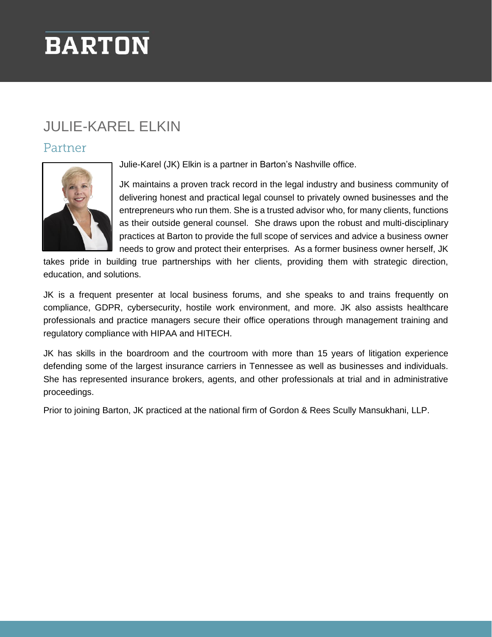## **BARTON**

## JULIE-KAREL ELKIN

## Partner



Julie-Karel (JK) Elkin is a partner in Barton's Nashville office.

JK maintains a proven track record in the legal industry and business community of delivering honest and practical legal counsel to privately owned businesses and the entrepreneurs who run them. She is a trusted advisor who, for many clients, functions as their outside general counsel. She draws upon the robust and multi-disciplinary practices at Barton to provide the full scope of services and advice a business owner needs to grow and protect their enterprises. As a former business owner herself, JK

takes pride in building true partnerships with her clients, providing them with strategic direction, education, and solutions.

JK is a frequent presenter at local business forums, and she speaks to and trains frequently on compliance, GDPR, cybersecurity, hostile work environment, and more. JK also assists healthcare professionals and practice managers secure their office operations through management training and regulatory compliance with HIPAA and HITECH.

JK has skills in the boardroom and the courtroom with more than 15 years of litigation experience defending some of the largest insurance carriers in Tennessee as well as businesses and individuals. She has represented insurance brokers, agents, and other professionals at trial and in administrative proceedings.

Prior to joining Barton, JK practiced at the national firm of Gordon & Rees Scully Mansukhani, LLP.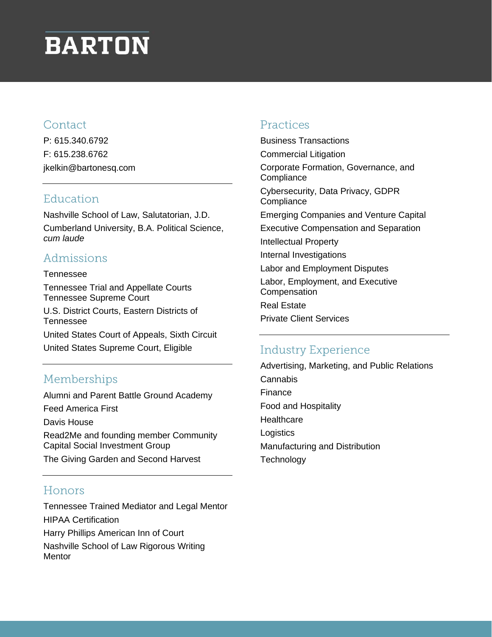## **BARTON**

### Contact

P: 615.340.6792 F: 615.238.6762 jkelkin@bartonesq.com

## Education

Nashville School of Law, Salutatorian, J.D. Cumberland University, B.A. Political Science, *cum laude*

## Admissions

#### Tennessee Tennessee Trial and Appellate Courts Tennessee Supreme Court U.S. District Courts, Eastern Districts of Tennessee United States Court of Appeals, Sixth Circuit United States Supreme Court, Eligible

## Memberships

Alumni and Parent Battle Ground Academy Feed America First Davis House Read2Me and founding member Community Capital Social Investment Group The Giving Garden and Second Harvest

## Honors

Tennessee Trained Mediator and Legal Mentor HIPAA Certification Harry Phillips American Inn of Court Nashville School of Law Rigorous Writing **Mentor** 

### Practices

Business Transactions Commercial Litigation Corporate Formation, Governance, and **Compliance** Cybersecurity, Data Privacy, GDPR **Compliance** Emerging Companies and Venture Capital Executive Compensation and Separation Intellectual Property Internal Investigations Labor and Employment Disputes Labor, Employment, and Executive **Compensation** Real Estate Private Client Services

## **Industry Experience**

Advertising, Marketing, and Public Relations Cannabis Finance Food and Hospitality **Healthcare** Logistics Manufacturing and Distribution **Technology**